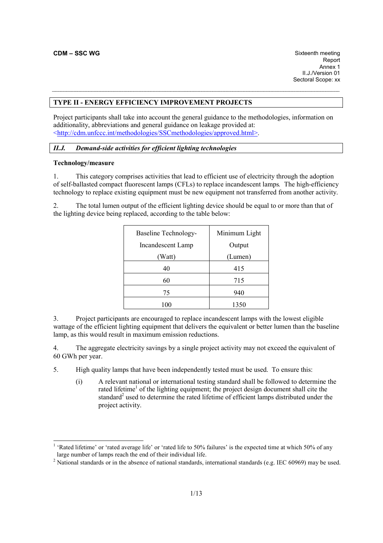### **TYPE II - ENERGY EFFICIENCY IMPROVEMENT PROJECTS**

Project participants shall take into account the general guidance to the methodologies, information on additionality, abbreviations and general guidance on leakage provided at: <http://cdm.unfccc.int/methodologies/SSCmethodologies/approved.html>.

# *II.J. Demand-side activities for efficient lighting technologies*

### **Technology/measure**

-

1. This category comprises activities that lead to efficient use of electricity through the adoption of self-ballasted compact fluorescent lamps (CFLs) to replace incandescent lamps*.* The high-efficiency technology to replace existing equipment must be new equipment not transferred from another activity.

2. The total lumen output of the efficient lighting device should be equal to or more than that of the lighting device being replaced, according to the table below:

| <b>Baseline Technology-</b> | Minimum Light |  |  |
|-----------------------------|---------------|--|--|
| Incandescent Lamp           | Output        |  |  |
| (Watt)                      | (Lumen)       |  |  |
| 40                          | 415           |  |  |
| 60                          | 715           |  |  |
| 75                          | 940           |  |  |
|                             | 1350          |  |  |

3. Project participants are encouraged to replace incandescent lamps with the lowest eligible wattage of the efficient lighting equipment that delivers the equivalent or better lumen than the baseline lamp, as this would result in maximum emission reductions.

4. The aggregate electricity savings by a single project activity may not exceed the equivalent of 60 GWh per year.

5. High quality lamps that have been independently tested must be used. To ensure this:

(i) A relevant national or international testing standard shall be followed to determine the rated lifetime<sup>1</sup> of the lighting equipment; the project design document shall cite the standard<sup>2</sup> used to determine the rated lifetime of efficient lamps distributed under the project activity.

<sup>&</sup>lt;sup>1</sup> 'Rated lifetime' or 'rated average life' or 'rated life to 50% failures' is the expected time at which 50% of any large number of lamps reach the end of their individual life.

<sup>&</sup>lt;sup>2</sup> National standards or in the absence of national standards, international standards (e.g. IEC 60969) may be used.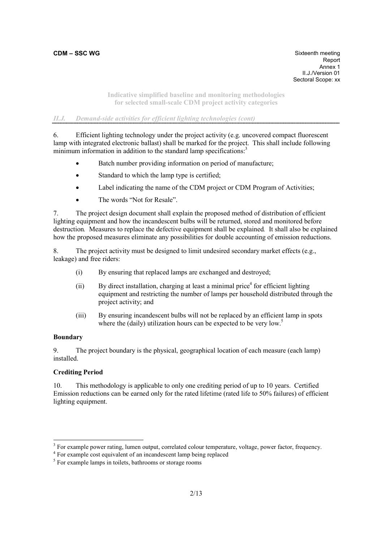report to the contract of the contract of the contract of the contract of the contract of the contract of the contract of the contract of the contract of the contract of the contract of the contract of the contract of the **Annex 1 Annex 1**  II.J./Version 01 Sectoral Scope: xx

> **Indicative simplified baseline and monitoring methodologies for selected small-scale CDM project activity categories**

# *II.J. Demand-side activities for efficient lighting technologies (cont)*

6. Efficient lighting technology under the project activity (e.g. uncovered compact fluorescent lamp with integrated electronic ballast) shall be marked for the project. This shall include following minimum information in addition to the standard lamp specifications.<sup>3</sup>

- Batch number providing information on period of manufacture;
- Standard to which the lamp type is certified:
- Label indicating the name of the CDM project or CDM Program of Activities;
- The words "Not for Resale".

7. The project design document shall explain the proposed method of distribution of efficient lighting equipment and how the incandescent bulbs will be returned, stored and monitored before destruction*.* Measures to replace the defective equipment shall be explained*.* It shall also be explained how the proposed measures eliminate any possibilities for double accounting of emission reductions.

8. The project activity must be designed to limit undesired secondary market effects (e.g., leakage) and free riders:

- (i) By ensuring that replaced lamps are exchanged and destroyed;
- $(i)$  By direct installation, charging at least a minimal price<sup>4</sup> for efficient lighting equipment and restricting the number of lamps per household distributed through the project activity; and
- (iii) By ensuring incandescent bulbs will not be replaced by an efficient lamp in spots where the (daily) utilization hours can be expected to be very low.<sup>5</sup>

## **Boundary**

-

9. The project boundary is the physical, geographical location of each measure (each lamp) installed.

## **Crediting Period**

10. This methodology is applicable to only one crediting period of up to 10 years. Certified Emission reductions can be earned only for the rated lifetime (rated life to 50% failures) of efficient lighting equipment.

<sup>4</sup> For example cost equivalent of an incandescent lamp being replaced

 $3$  For example power rating, lumen output, correlated colour temperature, voltage, power factor, frequency.

<sup>&</sup>lt;sup>5</sup> For example lamps in toilets, bathrooms or storage rooms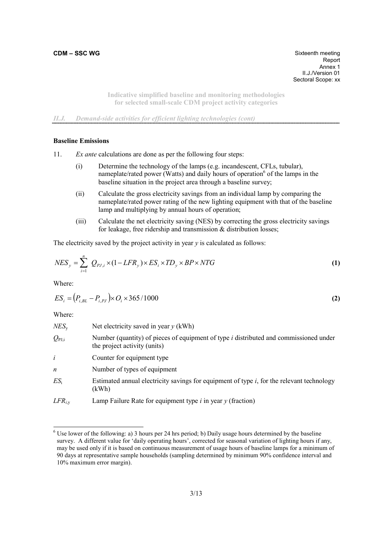**CDM – SSC WG** Sixteenth meeting Report report to the contract of the contract of the contract of the contract of the contract of the contract of the contract of the contract of the contract of the contract of the contract of the contract of the contract of the **Annex 1 Annex 1**  II.J./Version 01 Sectoral Scope: xx

> **Indicative simplified baseline and monitoring methodologies for selected small-scale CDM project activity categories**

*II.J. Demand-side activities for efficient lighting technologies (cont)* 

### **Baseline Emissions**

11. *Ex ante* calculations are done as per the following four steps:

- (i) Determine the technology of the lamps (e.g. incandescent, CFLs, tubular), nameplate/rated power (Watts) and daily hours of operation<sup>6</sup> of the lamps in the baseline situation in the project area through a baseline survey;
- (ii) Calculate the gross electricity savings from an individual lamp by comparing the nameplate/rated power rating of the new lighting equipment with that of the baseline lamp and multiplying by annual hours of operation;
- (iii) Calculate the net electricity saving (NES) by correcting the gross electricity savings for leakage, free ridership and transmission & distribution losses;

The electricity saved by the project activity in year *y* is calculated as follows:

$$
NES_y = \sum_{i=1}^{n} Q_{PJ,i} \times (1 - LFR_y) \times ES_i \times TD_y \times BP \times NTG
$$
 (1)

Where:

$$
ES_i = (P_{i, BL} - P_{i, PJ}) \times O_i \times 365/1000
$$
\n(2)

Where:

-

| $NES_{v}$      | Net electricity saved in year $y$ (kWh)                                                                                 |
|----------------|-------------------------------------------------------------------------------------------------------------------------|
| $Q_{\rm PJ,i}$ | Number (quantity) of pieces of equipment of type $i$ distributed and commissioned under<br>the project activity (units) |
| $\dot{i}$      | Counter for equipment type                                                                                              |
| n              | Number of types of equipment                                                                                            |
| $ES_i$         | Estimated annual electricity savings for equipment of type <i>i</i> , for the relevant technology<br>(kWh)              |
| $LFR_{i,y}$    | Lamp Failure Rate for equipment type $i$ in year $y$ (fraction)                                                         |

 $6$  Use lower of the following: a) 3 hours per 24 hrs period; b) Daily usage hours determined by the baseline survey. A different value for 'daily operating hours', corrected for seasonal variation of lighting hours if any, may be used only if it is based on continuous measurement of usage hours of baseline lamps for a minimum of 90 days at representative sample households (sampling determined by minimum 90% confidence interval and 10% maximum error margin).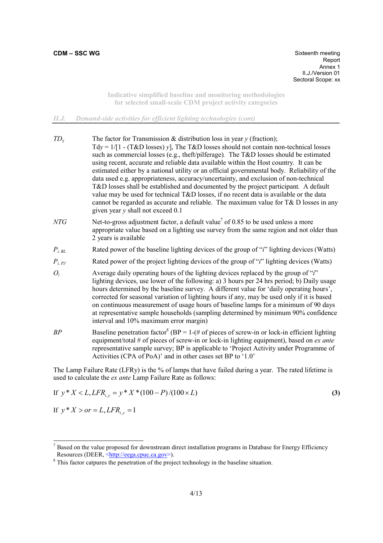**CDM – SSC WG** Sixteenth meeting report to the contract of the contract of the contract of the contract of the contract of the contract of the contract of the contract of the contract of the contract of the contract of the contract of the contract of the **Annex 1 Annex 1**  II.J./Version 01 Sectoral Scope: xx

> **Indicative simplified baseline and monitoring methodologies for selected small-scale CDM project activity categories**

# *II.J. Demand-side activities for efficient lighting technologies (cont)*

| $TD_{\rm v}$   | The factor for Transmission & distribution loss in year $y$ (fraction);<br>$Tdy = 1/[1 - (T&D \text{ losses}) y]$ , The T&D losses should not contain non-technical losses<br>such as commercial losses (e.g., theft/pilferage). The T&D losses should be estimated<br>using recent, accurate and reliable data available within the Host country. It can be<br>estimated either by a national utility or an official governmental body. Reliability of the<br>data used e.g. appropriateness, accuracy/uncertainty, and exclusion of non-technical<br>T&D losses shall be established and documented by the project participant. A default<br>value may be used for technical T&D losses, if no recent data is available or the data<br>cannot be regarded as accurate and reliable. The maximum value for $T\& D$ losses in any<br>given year $y$ shall not exceed 0.1 |
|----------------|--------------------------------------------------------------------------------------------------------------------------------------------------------------------------------------------------------------------------------------------------------------------------------------------------------------------------------------------------------------------------------------------------------------------------------------------------------------------------------------------------------------------------------------------------------------------------------------------------------------------------------------------------------------------------------------------------------------------------------------------------------------------------------------------------------------------------------------------------------------------------|
| NTG            | Net-to-gross adjustment factor, a default value <sup>7</sup> of 0.85 to be used unless a more<br>appropriate value based on a lighting use survey from the same region and not older than<br>2 years is available                                                                                                                                                                                                                                                                                                                                                                                                                                                                                                                                                                                                                                                        |
| $P_{i, BL}$    | Rated power of the baseline lighting devices of the group of " $i$ " lighting devices (Watts)                                                                                                                                                                                                                                                                                                                                                                                                                                                                                                                                                                                                                                                                                                                                                                            |
| $P_{i, \, PJ}$ | Rated power of the project lighting devices of the group of "i" lighting devices (Watts)                                                                                                                                                                                                                                                                                                                                                                                                                                                                                                                                                                                                                                                                                                                                                                                 |
| $O_i$          | Average daily operating hours of the lighting devices replaced by the group of "i"<br>lighting devices, use lower of the following: a) 3 hours per 24 hrs period; b) Daily usage<br>hours determined by the baseline survey. A different value for 'daily operating hours',<br>corrected for seasonal variation of lighting hours if any, may be used only if it is based<br>on continuous measurement of usage hours of baseline lamps for a minimum of 90 days<br>at representative sample households (sampling determined by minimum 90% confidence<br>interval and 10% maximum error margin)                                                                                                                                                                                                                                                                         |
| BP             | Baseline penetration factor <sup>8</sup> (BP = 1-(# of pieces of screw-in or lock-in efficient lighting<br>equipment/total # of pieces of screw-in or lock-in lighting equipment), based on ex ante<br>representative sample survey; BP is applicable to 'Project Activity under Programme of<br>Activities (CPA of PoA)' and in other cases set BP to '1.0'                                                                                                                                                                                                                                                                                                                                                                                                                                                                                                             |

The Lamp Failure Rate (LFRy) is the % of lamps that have failed during a year.The rated lifetime is used to calculate the *ex ante* Lamp Failure Rate as follows:

If 
$$
y * X < L
$$
, LFR<sub>i,y</sub> =  $y * X * (100 - P) / (100 \times L)$  (3)

If  $y * X > or = L, LFR$ <sub>*i,y*</sub> = 1

<sup>&</sup>lt;sup>7</sup> Based on the value proposed for downstream direct installation programs in Database for Energy Efficiency Resources (DEER, <http://eega.cpuc.ca.gov>).

<sup>&</sup>lt;sup>8</sup> This factor catpures the penetration of the project technology in the baseline situation.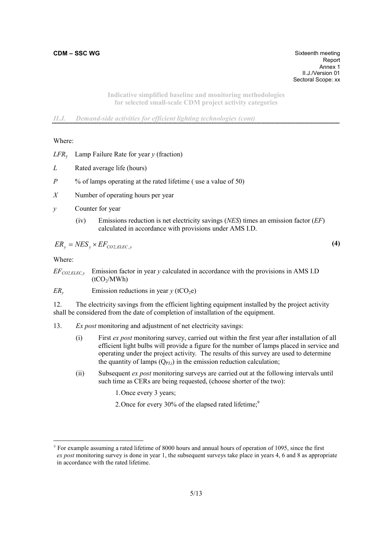report to the contract of the contract of the contract of the contract of the contract of the contract of the contract of the contract of the contract of the contract of the contract of the contract of the contract of the **Annex 1 Annex 1**  II.J./Version 01 Sectoral Scope: xx

> **Indicative simplified baseline and monitoring methodologies for selected small-scale CDM project activity categories**

*II.J. Demand-side activities for efficient lighting technologies (cont)* 

Where:

*LFR*y Lamp Failure Rate for year *y* (fraction)

- *L* Rated average life (hours)
- *P* % of lamps operating at the rated lifetime ( use a value of 50)
- *X* Number of operating hours per year
- *y* Counter for year
	- (iv) Emissions reduction is net electricity savings (*NES*) times an emission factor (*EF*) calculated in accordance with provisions under AMS I.D.

$$
ER_{y} = NES_{y} \times EF_{CO2, ELLC, y}
$$
 (4)

Where:

-

 $EF_{CO2, ELLC, y}$  Emission factor in year *y* calculated in accordance with the provisions in AMS I.D  $(tCO<sub>2</sub>/MWh)$ 

*ER<sub>y</sub>* Emission reductions in year  $\gamma$  (tCO<sub>2</sub>e)

12. The electricity savings from the efficient lighting equipment installed by the project activity shall be considered from the date of completion of installation of the equipment.

- 13. *Ex post* monitoring and adjustment of net electricity savings:
	- (i) First *ex post* monitoring survey, carried out within the first year after installation of all efficient light bulbs will provide a figure for the number of lamps placed in service and operating under the project activity*.* The results of this survey are used to determine the quantity of lamps  $(Q_{PJ,i})$  in the emission reduction calculation;
	- (ii) Subsequent *ex post* monitoring surveys are carried out at the following intervals until such time as CERs are being requested, (choose shorter of the two):
		- 1. Once every 3 years;
		- 2. Once for every 30% of the elapsed rated lifetime;<sup>9</sup>

<sup>9</sup> For example assuming a rated lifetime of 8000 hours and annual hours of operation of 1095, since the first *ex post* monitoring survey is done in year 1, the subsequent surveys take place in years 4, 6 and 8 as appropriate in accordance with the rated lifetime.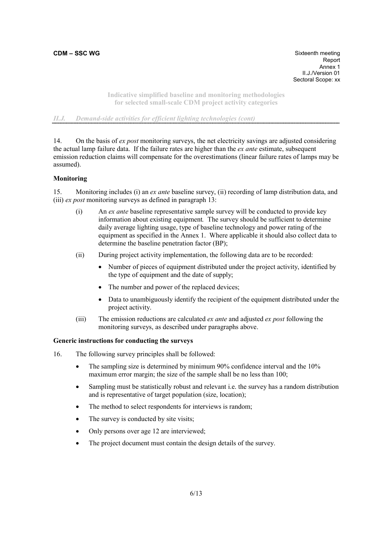report to the contract of the contract of the contract of the contract of the contract of the contract of the contract of the contract of the contract of the contract of the contract of the contract of the contract of the **Annex 1 Annex 1**  II.J./Version 01 Sectoral Scope: xx

> **Indicative simplified baseline and monitoring methodologies for selected small-scale CDM project activity categories**

# *II.J. Demand-side activities for efficient lighting technologies (cont)*

14. On the basis of *ex post* monitoring surveys, the net electricity savings are adjusted considering the actual lamp failure data. If the failure rates are higher than the *ex ante* estimate, subsequent emission reduction claims will compensate for the overestimations (linear failure rates of lamps may be assumed).

### **Monitoring**

15. Monitoring includes (i) an *ex ante* baseline survey, (ii) recording of lamp distribution data, and (iii) *ex post* monitoring surveys as defined in paragraph 13:

- (i) An *ex ante* baseline representative sample survey will be conducted to provide key information about existing equipment*.* The survey should be sufficient to determine daily average lighting usage, type of baseline technology and power rating of the equipment as specified in the Annex 1. Where applicable it should also collect data to determine the baseline penetration factor (BP);
- (ii) During project activity implementation, the following data are to be recorded:
	- Number of pieces of equipment distributed under the project activity, identified by the type of equipment and the date of supply;
	- The number and power of the replaced devices;
	- Data to unambiguously identify the recipient of the equipment distributed under the project activity.
- (iii) The emission reductions are calculated *ex ante* and adjusted *ex post* following the monitoring surveys, as described under paragraphs above.

### **Generic instructions for conducting the surveys**

- 16. The following survey principles shall be followed:
	- The sampling size is determined by minimum 90% confidence interval and the 10% maximum error margin; the size of the sample shall be no less than 100;
	- Sampling must be statistically robust and relevant i.e. the survey has a random distribution and is representative of target population (size, location);
	- The method to select respondents for interviews is random;
	- The survey is conducted by site visits;
	- Only persons over age 12 are interviewed;
	- The project document must contain the design details of the survey.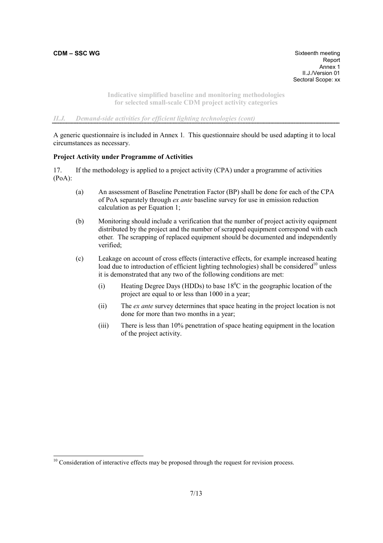-

report to the contract of the contract of the contract of the contract of the contract of the contract of the contract of the contract of the contract of the contract of the contract of the contract of the contract of the **Annex 1 Annex 1**  II.J./Version 01 Sectoral Scope: xx

> **Indicative simplified baseline and monitoring methodologies for selected small-scale CDM project activity categories**

## *II.J. Demand-side activities for efficient lighting technologies (cont)*

A generic questionnaire is included in Annex 1*.* This questionnaire should be used adapting it to local circumstances as necessary.

### **Project Activity under Programme of Activities**

17. If the methodology is applied to a project activity (CPA) under a programme of activities (PoA):

- (a) An assessment of Baseline Penetration Factor (BP) shall be done for each of the CPA of PoA separately through *ex ante* baseline survey for use in emission reduction calculation as per Equation 1;
- (b) Monitoring should include a verification that the number of project activity equipment distributed by the project and the number of scrapped equipment correspond with each other*.* The scrapping of replaced equipment should be documented and independently verified;
- (c) Leakage on account of cross effects (interactive effects, for example increased heating load due to introduction of efficient lighting technologies) shall be considered<sup>10</sup> unless it is demonstrated that any two of the following conditions are met:
	- (i) Heating Degree Days (HDDs) to base  $18^{\circ}$ C in the geographic location of the project are equal to or less than 1000 in a year;
	- (ii) The *ex ante* survey determines that space heating in the project location is not done for more than two months in a year;
	- (iii) There is less than 10% penetration of space heating equipment in the location of the project activity.

 $10$  Consideration of interactive effects may be proposed through the request for revision process.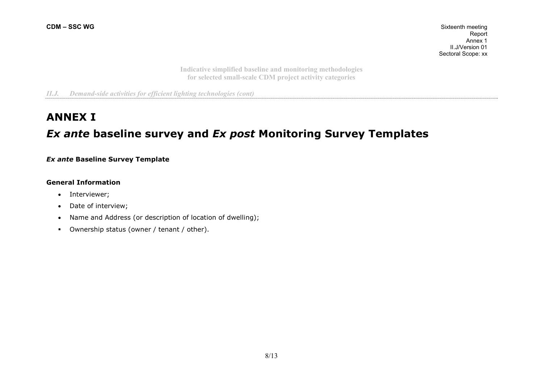**Indicative simplified baseline and monitoring methodologies for selected small-scale CDM project activity categories** 

*II.J. Demand-side activities for efficient lighting technologies (cont)* 

# **ANNEX I** *Ex ante* **baseline survey and** *Ex post* **Monitoring Survey Templates**

*Ex ante* **Baseline Survey Template** 

# **General Information**

- Interviewer;
- Date of interview;
- Name and Address (or description of location of dwelling);
- Ownership status (owner / tenant / other).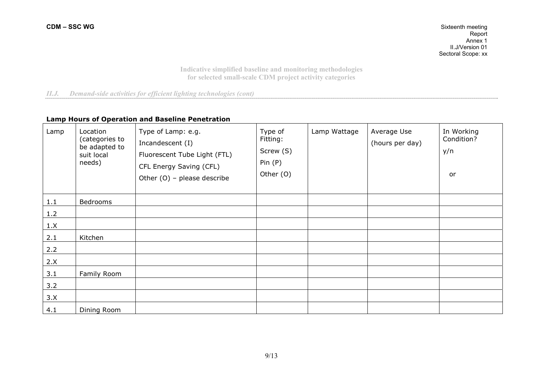**Indicative simplified baseline and monitoring methodologies for selected small-scale CDM project activity categories** 

# *II.J. Demand-side activities for efficient lighting technologies (cont)*

# **Lamp Hours of Operation and Baseline Penetration**

| Lamp | Location<br>(categories to<br>be adapted to<br>suit local<br>needs) | Type of Lamp: e.g.<br>Incandescent (I)<br>Fluorescent Tube Light (FTL)<br>CFL Energy Saving (CFL)<br>Other $(O)$ – please describe | Type of<br>Fitting:<br>Screw (S)<br>Pin(P)<br>Other (O) | Lamp Wattage | Average Use<br>(hours per day) | In Working<br>Condition?<br>y/n<br>or |
|------|---------------------------------------------------------------------|------------------------------------------------------------------------------------------------------------------------------------|---------------------------------------------------------|--------------|--------------------------------|---------------------------------------|
| 1.1  | Bedrooms                                                            |                                                                                                                                    |                                                         |              |                                |                                       |
| 1.2  |                                                                     |                                                                                                                                    |                                                         |              |                                |                                       |
| 1.X  |                                                                     |                                                                                                                                    |                                                         |              |                                |                                       |
| 2.1  | Kitchen                                                             |                                                                                                                                    |                                                         |              |                                |                                       |
| 2.2  |                                                                     |                                                                                                                                    |                                                         |              |                                |                                       |
| 2.X  |                                                                     |                                                                                                                                    |                                                         |              |                                |                                       |
| 3.1  | Family Room                                                         |                                                                                                                                    |                                                         |              |                                |                                       |
| 3.2  |                                                                     |                                                                                                                                    |                                                         |              |                                |                                       |
| 3.X  |                                                                     |                                                                                                                                    |                                                         |              |                                |                                       |
| 4.1  | Dining Room                                                         |                                                                                                                                    |                                                         |              |                                |                                       |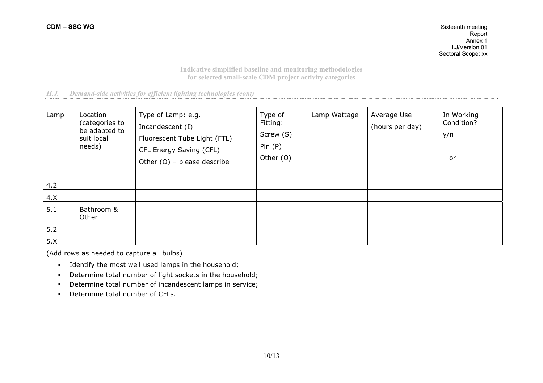**Indicative simplified baseline and monitoring methodologies for selected small-scale CDM project activity categories** 

# *II.J. Demand-side activities for efficient lighting technologies (cont)*

| Lamp | Location<br>(categories to<br>be adapted to<br>suit local<br>needs) | Type of Lamp: e.g.<br>Incandescent (I)<br>Fluorescent Tube Light (FTL)<br>CFL Energy Saving (CFL)<br>Other $(O)$ – please describe | Type of<br>Fitting:<br>Screw (S)<br>Pin(P)<br>Other (O) | Lamp Wattage | Average Use<br>(hours per day) | In Working<br>Condition?<br>y/n<br>or |
|------|---------------------------------------------------------------------|------------------------------------------------------------------------------------------------------------------------------------|---------------------------------------------------------|--------------|--------------------------------|---------------------------------------|
| 4.2  |                                                                     |                                                                                                                                    |                                                         |              |                                |                                       |
| 4.X  |                                                                     |                                                                                                                                    |                                                         |              |                                |                                       |
| 5.1  | Bathroom &<br>Other                                                 |                                                                                                                                    |                                                         |              |                                |                                       |
| 5.2  |                                                                     |                                                                                                                                    |                                                         |              |                                |                                       |
| 5.X  |                                                                     |                                                                                                                                    |                                                         |              |                                |                                       |

(Add rows as needed to capture all bulbs)

- Identify the most well used lamps in the household;
- **•** Determine total number of light sockets in the household;
- Determine total number of incandescent lamps in service;
- Determine total number of CFLs.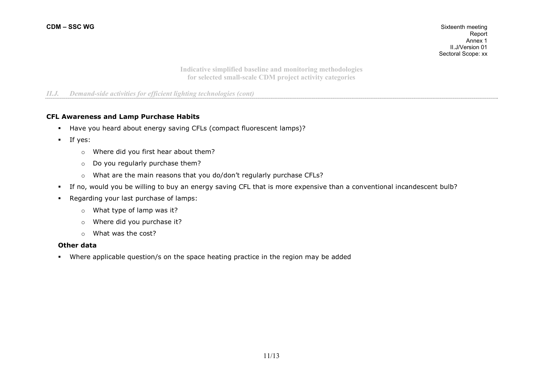**Indicative simplified baseline and monitoring methodologies for selected small-scale CDM project activity categories** 

# *II.J. Demand-side activities for efficient lighting technologies (cont)*

### **CFL Awareness and Lamp Purchase Habits**

- Have you heard about energy saving CFLs (compact fluorescent lamps)?
- $I$  If yes:
	- <sup>o</sup>Where did you first hear about them?
	- $\circ$  Do you regularly purchase them?
	- <sup>o</sup>What are the main reasons that you do/don't regularly purchase CFLs?
- If no, would you be willing to buy an energy saving CFL that is more expensive than a conventional incandescent bulb?
- Regarding your last purchase of lamps:
	- <sup>o</sup>What type of lamp was it?
	- <sup>o</sup>Where did you purchase it?
	- o What was the cost?

#### **Other data**

Where applicable question/s on the space heating practice in the region may be added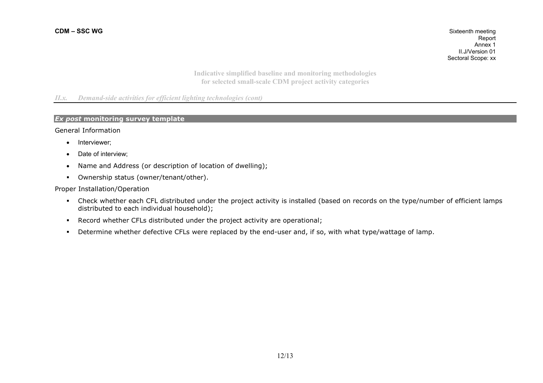**Indicative simplified baseline and monitoring methodologies for selected small-scale CDM project activity categories** 

## *II.x. Demand-side activities for efficient lighting technologies (cont)*

# *Ex post* **monitoring survey template**

General Information

- Interviewer;
- Date of interview;
- Name and Address (or description of location of dwelling);
- Ownership status (owner/tenant/other).

## Proper Installation/Operation

- Check whether each CFL distributed under the project activity is installed (based on records on the type/number of efficient lamps distributed to each individual household);
- Record whether CFLs distributed under the project activity are operational;
- Determine whether defective CFLs were replaced by the end-user and, if so, with what type/wattage of lamp.